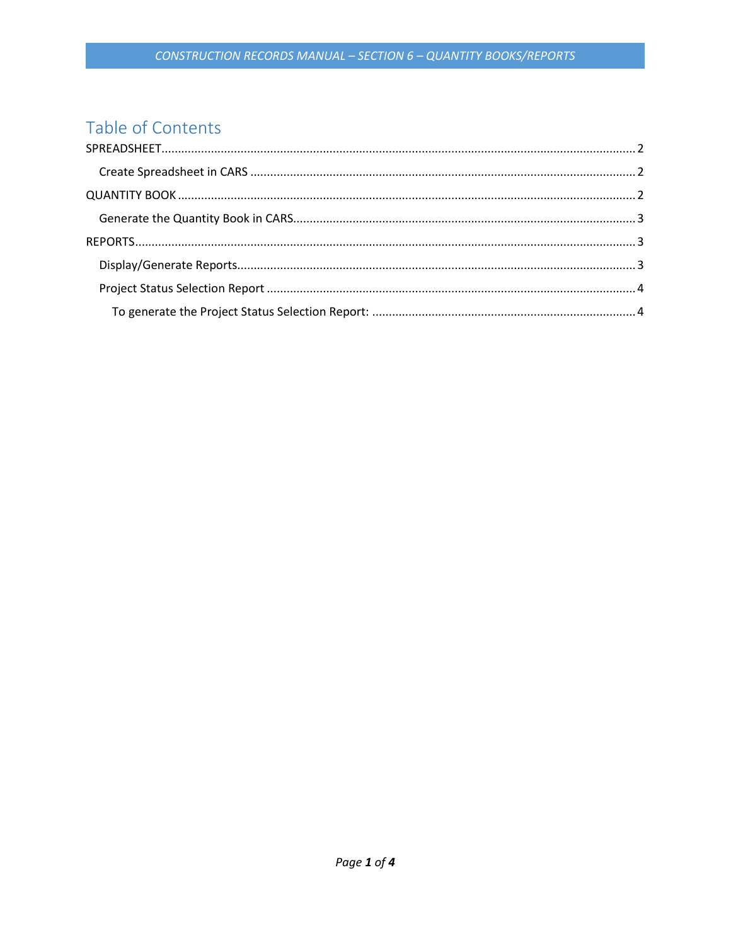# Table of Contents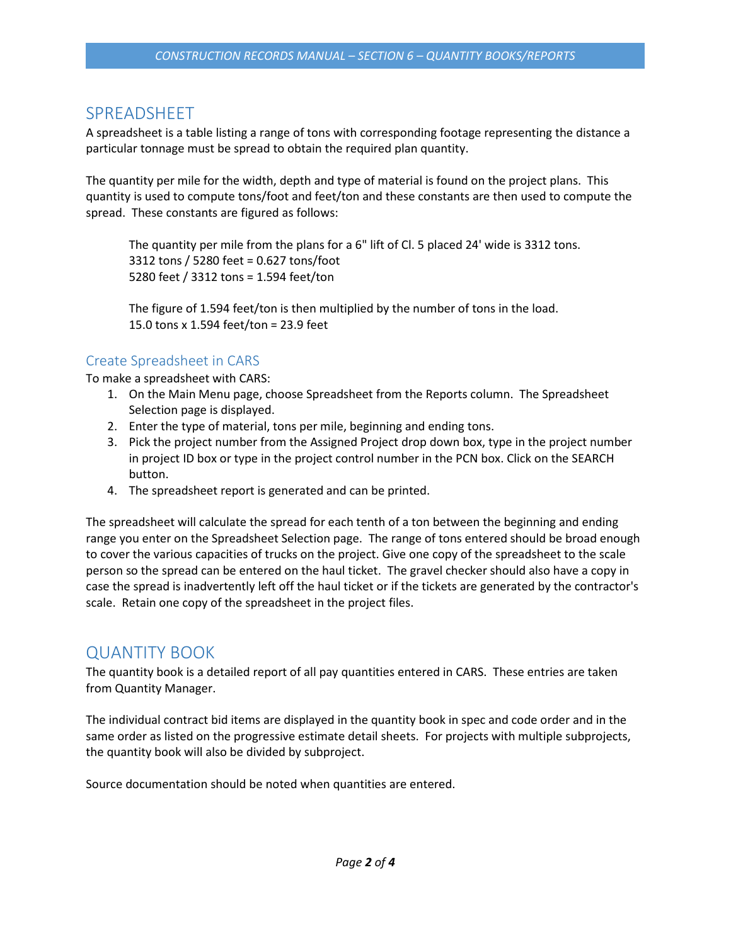# <span id="page-1-0"></span>SPREADSHEET

A spreadsheet is a table listing a range of tons with corresponding footage representing the distance a particular tonnage must be spread to obtain the required plan quantity.

The quantity per mile for the width, depth and type of material is found on the project plans. This quantity is used to compute tons/foot and feet/ton and these constants are then used to compute the spread. These constants are figured as follows:

The quantity per mile from the plans for a 6" lift of Cl. 5 placed 24' wide is 3312 tons. 3312 tons / 5280 feet = 0.627 tons/foot 5280 feet / 3312 tons = 1.594 feet/ton

The figure of 1.594 feet/ton is then multiplied by the number of tons in the load. 15.0 tons x 1.594 feet/ton = 23.9 feet

## <span id="page-1-1"></span>Create Spreadsheet in CARS

To make a spreadsheet with CARS:

- 1. On the Main Menu page, choose Spreadsheet from the Reports column. The Spreadsheet Selection page is displayed.
- 2. Enter the type of material, tons per mile, beginning and ending tons.
- 3. Pick the project number from the Assigned Project drop down box, type in the project number in project ID box or type in the project control number in the PCN box. Click on the SEARCH button.
- 4. The spreadsheet report is generated and can be printed.

The spreadsheet will calculate the spread for each tenth of a ton between the beginning and ending range you enter on the Spreadsheet Selection page. The range of tons entered should be broad enough to cover the various capacities of trucks on the project. Give one copy of the spreadsheet to the scale person so the spread can be entered on the haul ticket. The gravel checker should also have a copy in case the spread is inadvertently left off the haul ticket or if the tickets are generated by the contractor's scale. Retain one copy of the spreadsheet in the project files.

## <span id="page-1-2"></span>QUANTITY BOOK

The quantity book is a detailed report of all pay quantities entered in CARS. These entries are taken from Quantity Manager.

The individual contract bid items are displayed in the quantity book in spec and code order and in the same order as listed on the progressive estimate detail sheets. For projects with multiple subprojects, the quantity book will also be divided by subproject.

Source documentation should be noted when quantities are entered.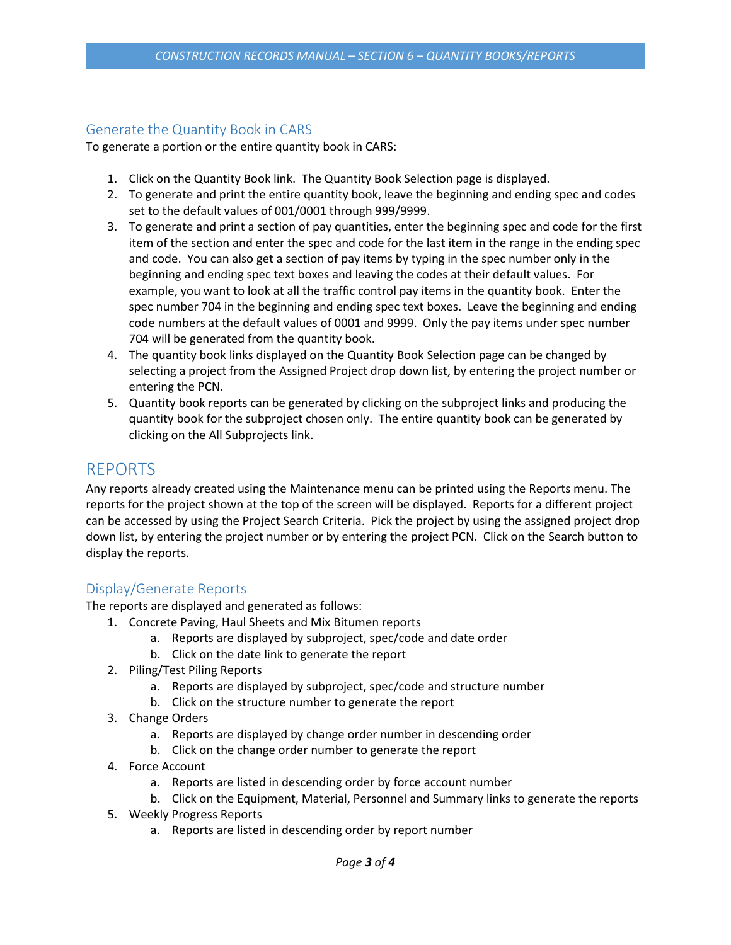#### <span id="page-2-0"></span>Generate the Quantity Book in CARS

To generate a portion or the entire quantity book in CARS:

- 1. Click on the Quantity Book link. The Quantity Book Selection page is displayed.
- 2. To generate and print the entire quantity book, leave the beginning and ending spec and codes set to the default values of 001/0001 through 999/9999.
- 3. To generate and print a section of pay quantities, enter the beginning spec and code for the first item of the section and enter the spec and code for the last item in the range in the ending spec and code. You can also get a section of pay items by typing in the spec number only in the beginning and ending spec text boxes and leaving the codes at their default values. For example, you want to look at all the traffic control pay items in the quantity book. Enter the spec number 704 in the beginning and ending spec text boxes. Leave the beginning and ending code numbers at the default values of 0001 and 9999. Only the pay items under spec number 704 will be generated from the quantity book.
- 4. The quantity book links displayed on the Quantity Book Selection page can be changed by selecting a project from the Assigned Project drop down list, by entering the project number or entering the PCN.
- 5. Quantity book reports can be generated by clicking on the subproject links and producing the quantity book for the subproject chosen only. The entire quantity book can be generated by clicking on the All Subprojects link.

## <span id="page-2-1"></span>REPORTS

Any reports already created using the Maintenance menu can be printed using the Reports menu. The reports for the project shown at the top of the screen will be displayed. Reports for a different project can be accessed by using the Project Search Criteria. Pick the project by using the assigned project drop down list, by entering the project number or by entering the project PCN. Click on the Search button to display the reports.

## <span id="page-2-2"></span>Display/Generate Reports

The reports are displayed and generated as follows:

- 1. Concrete Paving, Haul Sheets and Mix Bitumen reports
	- a. Reports are displayed by subproject, spec/code and date order
	- b. Click on the date link to generate the report
- 2. Piling/Test Piling Reports
	- a. Reports are displayed by subproject, spec/code and structure number
	- b. Click on the structure number to generate the report
- 3. Change Orders
	- a. Reports are displayed by change order number in descending order
	- b. Click on the change order number to generate the report
- 4. Force Account
	- a. Reports are listed in descending order by force account number
	- b. Click on the Equipment, Material, Personnel and Summary links to generate the reports
- 5. Weekly Progress Reports
	- a. Reports are listed in descending order by report number